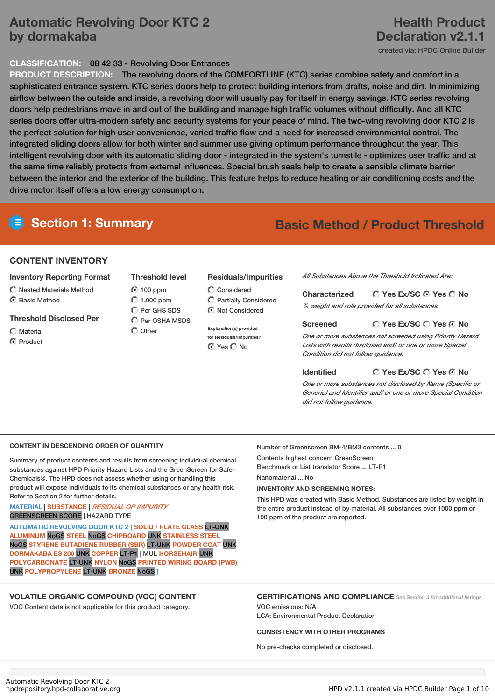# **Automatic Revolving Door KTC 2 by dormakaba**

## **Health Product Declaration v2.1.1**

created via: HPDC Online Builder

## **CLASSIFICATION:** 08 42 33 - Revolving Door Entrances

**PRODUCT DESCRIPTION:** The revolving doors of the COMFORTLINE (KTC) series combine safety and comfort in a sophisticated entrance system. KTC series doors help to protect building interiors from drafts, noise and dirt. In minimizing airflow between the outside and inside, a revolving door will usually pay for itself in energy savings. KTC series revolving doors help pedestrians move in and out of the building and manage high traffic volumes without difficulty. And all KTC series doors offer ultra-modern safety and security systems for your peace of mind. The two-wing revolving door KTC 2 is the perfect solution for high user convenience, varied traffic flow and a need for increased environmental control. The integrated sliding doors allow for both winter and summer use giving optimum performance throughout the year. This intelligent revolving door with its automatic sliding door - integrated in the system's turnstile - optimizes user traffic and at the same time reliably protects from external influences. Special brush seals help to create a sensible climate barrier between the interior and the exterior of the building. This feature helps to reduce heating or air conditioning costs and the drive motor itself offers a low energy consumption.

# **Section 1: Summary Basic Method / Product Threshold**

## **CONTENT INVENTORY**

## **Inventory Reporting Format**

- $\bigcap$  Nested Materials Method
- **G** Basic Method

## **Threshold Disclosed Per**

 $\bigcap$  Material C Product

## **Threshold level**  $\bigcirc$  100 ppm  $\bigcirc$  1,000 ppm

C Per GHS SDS  $\bigcirc$  Per OSHA MSDS

 $\bigcirc$  Other

## **Residuals/Impurities**

Considered Partially Considered  $\odot$  Not Considered

**Explanation(s) provided for Residuals/Impurities?**  $\bigcirc$  Yes  $\bigcirc$  No

*All Substances Above the Threshold Indicated Are:*

#### **Yes Ex/SC Yes No Characterized**

*% weight and role provided for all substances.*

## **Screened**

*One or more substances not screened using Priority Hazard Lists with results disclosed and/ or one or more Special Condition did not follow guidance.*

**Identified**

## **Yes Ex/SC Yes No**

**Yes Ex/SC Yes No**

*One or more substances not disclosed by Name (Specific or Generic) and Identifier and/ or one or more Special Condition did not follow guidance.*

## **CONTENT IN DESCENDING ORDER OF QUANTITY**

Summary of product contents and results from screening individual chemical substances against HPD Priority Hazard Lists and the GreenScreen for Safer Chemicals®. The HPD does not assess whether using or handling this product will expose individuals to its chemical substances or any health risk. Refer to Section 2 for further details.

### **MATERIAL** | **SUBSTANCE** | *RESIDUAL OR IMPURITY* GREENSCREEN SCORE | HAZARD TYPE

**AUTOMATIC REVOLVING DOOR KTC 2 [ SOLID / PLATE GLASS** LT-UNK **ALUMINUM** NoGS **STEEL** NoGS **CHIPBOARD** UNK **STAINLESS STEEL** NoGS **STYRENE BUTADIENE RUBBER (SBR)** LT-UNK **POWDER COAT** UNK **DORMAKABA ES 200** UNK **COPPER** LT-P1 | MUL **HORSEHAIR** UNK **POLYCARBONATE** LT-UNK **NYLON** NoGS **PRINTED WIRING BOARD (PWB)** UNK **POLYPROPYLENE** LT-UNK **BRONZE** NoGS **]**

## **VOLATILE ORGANIC COMPOUND (VOC) CONTENT**

VOC Content data is not applicable for this product category.

Number of Greenscreen BM-4/BM3 contents ... 0

Contents highest concern GreenScreen Benchmark or List translator Score ... LT-P1 Nanomaterial ... No

**INVENTORY AND SCREENING NOTES:**

This HPD was created with Basic Method. Substances are listed by weight in the entire product instead of by material. All substances over 1000 ppm or 100 ppm of the product are reported.

## **CERTIFICATIONS AND COMPLIANCE** *See Section <sup>3</sup> for additional listings.* VOC emissions: N/A

LCA: Environmental Product Declaration

## **CONSISTENCY WITH OTHER PROGRAMS**

No pre-checks completed or disclosed.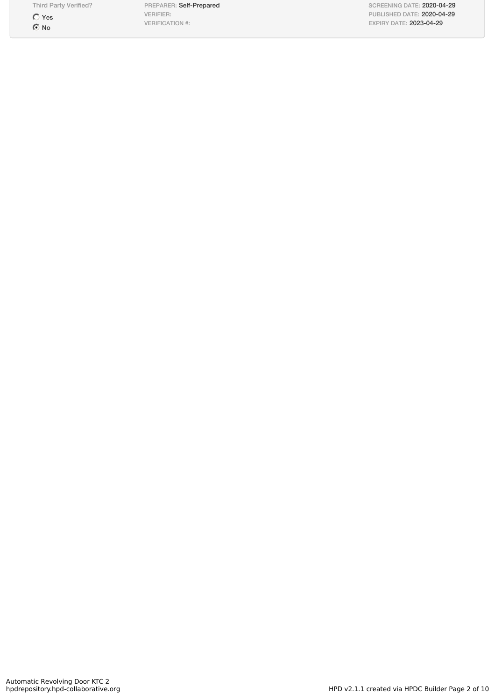Third Party Verified?

 $\bigcirc$  Yes  $\odot$  No

PREPARER: Self-Prepared VERIFIER: VERIFICATION #:

SCREENING DATE: 2020-04-29 PUBLISHED DATE: 2020-04-29 EXPIRY DATE: 2023-04-29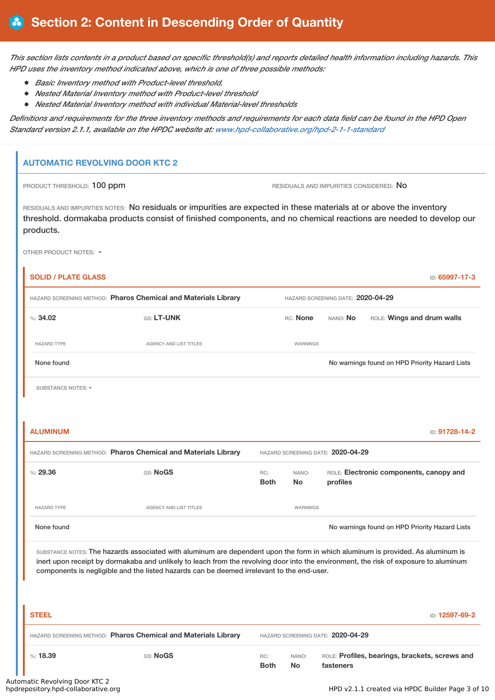This section lists contents in a product based on specific threshold(s) and reports detailed health information including hazards. This *HPD uses the inventory method indicated above, which is one of three possible methods:*

- *Basic Inventory method with Product-level threshold.*
- *Nested Material Inventory method with Product-level threshold*
- *Nested Material Inventory method with individual Material-level thresholds*

Definitions and requirements for the three inventory methods and requirements for each data field can be found in the HPD Open *Standard version 2.1.1, available on the HPDC website at: [www.hpd-collaborative.org/hpd-2-1-1-standard](https://www.hpd-collaborative.org/hpd-2-1-1-standard)*

## **AUTOMATIC REVOLVING DOOR KTC 2**

PRODUCT THRESHOLD: 100 ppm **RESIDUALS AND IMPURITIES CONSIDERED:** No

RESIDUALS AND IMPURITIES NOTES: No residuals or impurities are expected in these materials at or above the inventory threshold. dormakaba products consist of finished components, and no chemical reactions are needed to develop our products.

OTHER PRODUCT NOTES: -

| <b>SOLID / PLATE GLASS</b>                                     |                                                                                                                                                                                                                                                                                                                                                                      |                    |                    |                                   | ID: 65997-17-3                                 |
|----------------------------------------------------------------|----------------------------------------------------------------------------------------------------------------------------------------------------------------------------------------------------------------------------------------------------------------------------------------------------------------------------------------------------------------------|--------------------|--------------------|-----------------------------------|------------------------------------------------|
| HAZARD SCREENING METHOD: Pharos Chemical and Materials Library |                                                                                                                                                                                                                                                                                                                                                                      |                    |                    | HAZARD SCREENING DATE: 2020-04-29 |                                                |
| %34.02                                                         | GS: LT-UNK                                                                                                                                                                                                                                                                                                                                                           |                    | RC: None           | NANO: No                          | ROLE: Wings and drum walls                     |
| <b>HAZARD TYPE</b>                                             | <b>AGENCY AND LIST TITLES</b>                                                                                                                                                                                                                                                                                                                                        |                    | WARNINGS           |                                   |                                                |
| None found                                                     |                                                                                                                                                                                                                                                                                                                                                                      |                    |                    |                                   | No warnings found on HPD Priority Hazard Lists |
| <b>SUBSTANCE NOTES: -</b>                                      |                                                                                                                                                                                                                                                                                                                                                                      |                    |                    |                                   |                                                |
|                                                                |                                                                                                                                                                                                                                                                                                                                                                      |                    |                    |                                   |                                                |
| <b>ALUMINUM</b>                                                |                                                                                                                                                                                                                                                                                                                                                                      |                    |                    |                                   | ID: 91728-14-2                                 |
| HAZARD SCREENING METHOD: Pharos Chemical and Materials Library |                                                                                                                                                                                                                                                                                                                                                                      |                    |                    | HAZARD SCREENING DATE: 2020-04-29 |                                                |
| %29.36                                                         | GS: NoGS                                                                                                                                                                                                                                                                                                                                                             | RC:<br><b>Both</b> | NANO:<br>No        | profiles                          | ROLE: Electronic components, canopy and        |
| <b>HAZARD TYPE</b>                                             | <b>AGENCY AND LIST TITLES</b>                                                                                                                                                                                                                                                                                                                                        |                    | WARNINGS           |                                   |                                                |
| None found                                                     |                                                                                                                                                                                                                                                                                                                                                                      |                    |                    |                                   | No warnings found on HPD Priority Hazard Lists |
|                                                                | SUBSTANCE NOTES: The hazards associated with aluminum are dependent upon the form in which aluminum is provided. As aluminum is<br>inert upon receipt by dormakaba and unlikely to leach from the revolving door into the environment, the risk of exposure to aluminum<br>components is negligible and the listed hazards can be deemed irrelevant to the end-user. |                    |                    |                                   |                                                |
| <b>STEEL</b>                                                   |                                                                                                                                                                                                                                                                                                                                                                      |                    |                    |                                   | ID: 12597-69-2                                 |
| HAZARD SCREENING METHOD: Pharos Chemical and Materials Library |                                                                                                                                                                                                                                                                                                                                                                      |                    |                    | HAZARD SCREENING DATE: 2020-04-29 |                                                |
| %: 18.39<br>the Decorational Department                        | GS: NoGS                                                                                                                                                                                                                                                                                                                                                             | RC:<br><b>Both</b> | NANO:<br><b>No</b> | fasteners                         | ROLE: Profiles, bearings, brackets, screws and |

# Automatic Revolving Door KTC 2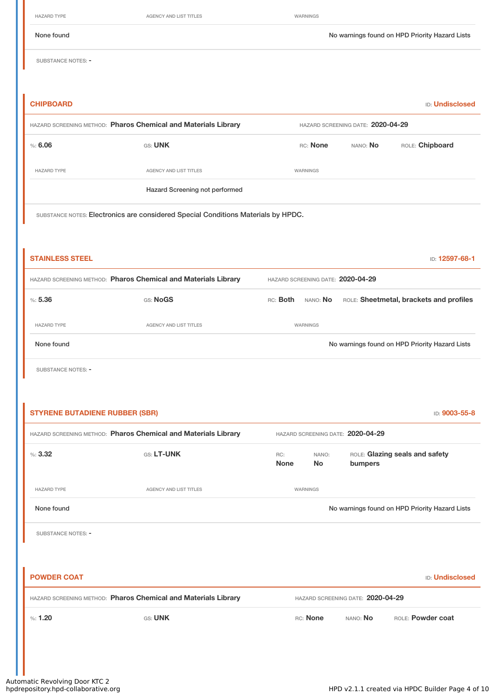HAZARD TYPE **AGENCY AND LIST TITLES AGENCY AND LIST TITLES WARNINGS** 

None found Nowarnings found on HPD Priority Hazard Lists

SUBSTANCE NOTES: -

# **CHIPBOARD** ID: **Undisclosed** HAZARD SCREENING METHOD: **Pharos Chemical and Materials Library** HAZARD SCREENING DATE: **2020-04-29** %: **6.06** GS: UNK GS: UNK RC: None NANO: No<br>RC: None NANO: No HAZARD TYPE **AGENCY AND LIST TITLES** WARNINGS Hazard Screening not performed

SUBSTANCE NOTES: Electronics are considered Special Conditions Materials by HPDC.

| <b>STAINLESS STEEL</b>                                         |                        | ID: 12597-68-1                                                                |  |  |
|----------------------------------------------------------------|------------------------|-------------------------------------------------------------------------------|--|--|
| HAZARD SCREENING METHOD: Pharos Chemical and Materials Library |                        | HAZARD SCREENING DATE: 2020-04-29                                             |  |  |
| %5.36                                                          | GS: NoGS               | ROLE: Sheetmetal, brackets and profiles<br>nano: <b>No</b><br>RC: <b>Both</b> |  |  |
| <b>HAZARD TYPE</b>                                             | AGENCY AND LIST TITLES | WARNINGS                                                                      |  |  |
| None found                                                     |                        | No warnings found on HPD Priority Hazard Lists                                |  |  |

SUBSTANCE NOTES: -

| <b>STYRENE BUTADIENE RUBBER (SBR)</b><br>ID: 9003-55-8 |                                                                |                    |                                                                 |                                   |                                                |  |
|--------------------------------------------------------|----------------------------------------------------------------|--------------------|-----------------------------------------------------------------|-----------------------------------|------------------------------------------------|--|
|                                                        | HAZARD SCREENING METHOD: Pharos Chemical and Materials Library |                    |                                                                 | HAZARD SCREENING DATE: 2020-04-29 |                                                |  |
| %3.32                                                  | GS: LT-UNK                                                     | RC:<br><b>None</b> | ROLE: Glazing seals and safety<br>NANO:<br><b>No</b><br>bumpers |                                   |                                                |  |
| <b>HAZARD TYPE</b>                                     | AGENCY AND LIST TITLES                                         |                    | WARNINGS                                                        |                                   |                                                |  |
| None found                                             |                                                                |                    |                                                                 |                                   | No warnings found on HPD Priority Hazard Lists |  |
| SUBSTANCE NOTES: -                                     |                                                                |                    |                                                                 |                                   |                                                |  |
|                                                        |                                                                |                    |                                                                 |                                   |                                                |  |
| <b>POWDER COAT</b>                                     |                                                                |                    |                                                                 |                                   | <b>ID: Undisclosed</b>                         |  |
|                                                        | HAZARD SCREENING METHOD: Pharos Chemical and Materials Library |                    |                                                                 | HAZARD SCREENING DATE: 2020-04-29 |                                                |  |
| %: 1.20                                                | GS: UNK                                                        |                    | RC: None                                                        | NANO: No                          | ROLE: Powder coat                              |  |
|                                                        |                                                                |                    |                                                                 |                                   |                                                |  |
|                                                        |                                                                |                    |                                                                 |                                   |                                                |  |
|                                                        |                                                                |                    |                                                                 |                                   |                                                |  |

Automatic Revolving Door KTC 2<br>hpdrepository.hpd-collaborative.org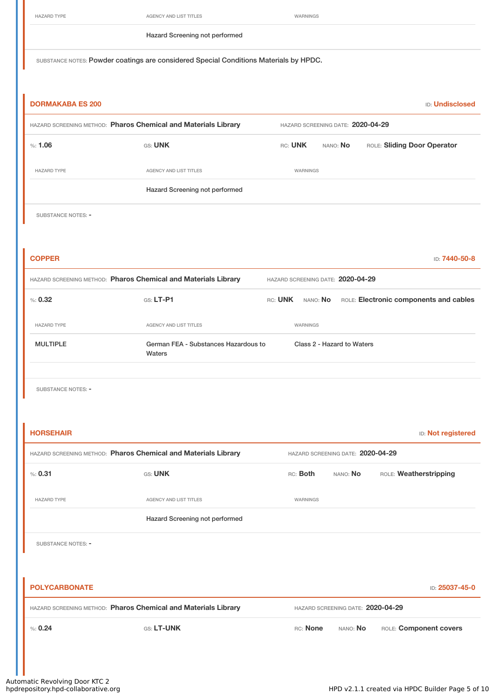| HAZARD TYPE |  |
|-------------|--|
|-------------|--|

AGENCY AND LIST TITLES WARNINGS

Hazard Screening not performed

SUBSTANCE NOTES: Powder coatings are considered Special Conditions Materials by HPDC.

| <b>DORMAKABA ES 200</b> |                                                                |                                   |                                   | <b>ID: Undisclosed</b>                 |  |  |
|-------------------------|----------------------------------------------------------------|-----------------------------------|-----------------------------------|----------------------------------------|--|--|
|                         | HAZARD SCREENING METHOD: Pharos Chemical and Materials Library |                                   | HAZARD SCREENING DATE: 2020-04-29 |                                        |  |  |
| %: 1.06                 | GS: UNK                                                        | RC: UNK                           | NANO: No                          | ROLE: Sliding Door Operator            |  |  |
| <b>HAZARD TYPE</b>      | AGENCY AND LIST TITLES                                         | WARNINGS                          |                                   |                                        |  |  |
|                         | Hazard Screening not performed                                 |                                   |                                   |                                        |  |  |
| SUBSTANCE NOTES: -      |                                                                |                                   |                                   |                                        |  |  |
|                         |                                                                |                                   |                                   |                                        |  |  |
| <b>COPPER</b>           |                                                                |                                   |                                   | ID: 7440-50-8                          |  |  |
|                         | HAZARD SCREENING METHOD: Pharos Chemical and Materials Library | HAZARD SCREENING DATE: 2020-04-29 |                                   |                                        |  |  |
| % : 0.32                | GS: LT-P1                                                      | RC: UNK NANO: No                  |                                   | ROLE: Electronic components and cables |  |  |
| <b>HAZARD TYPE</b>      | AGENCY AND LIST TITLES                                         | WARNINGS                          |                                   |                                        |  |  |
| <b>MULTIPLE</b>         | German FEA - Substances Hazardous to<br>Waters                 |                                   | Class 2 - Hazard to Waters        |                                        |  |  |
| SUBSTANCE NOTES: -      |                                                                |                                   |                                   |                                        |  |  |
| <b>HORSEHAIR</b>        |                                                                |                                   |                                   | <b>ID:</b> Not registered              |  |  |
|                         | HAZARD SCREENING METHOD: Pharos Chemical and Materials Library |                                   | HAZARD SCREENING DATE: 2020-04-29 |                                        |  |  |
| % : 0.31                | <b>GS: UNK</b>                                                 | RC: Both                          | NANO: No                          | ROLE: Weatherstripping                 |  |  |
| <b>HAZARD TYPE</b>      | AGENCY AND LIST TITLES                                         | WARNINGS                          |                                   |                                        |  |  |
|                         | Hazard Screening not performed                                 |                                   |                                   |                                        |  |  |
| SUBSTANCE NOTES: -      |                                                                |                                   |                                   |                                        |  |  |

| <b>POLYCARBONATE</b>                                           |                   |          |                                   | <b>ID: 25037-45-0</b>  |
|----------------------------------------------------------------|-------------------|----------|-----------------------------------|------------------------|
| HAZARD SCREENING METHOD: Pharos Chemical and Materials Library |                   |          | HAZARD SCREENING DATE: 2020-04-29 |                        |
| % 0.24                                                         | <b>GS: LT-UNK</b> | RC: None | nano: <b>No</b>                   | ROLE: Component covers |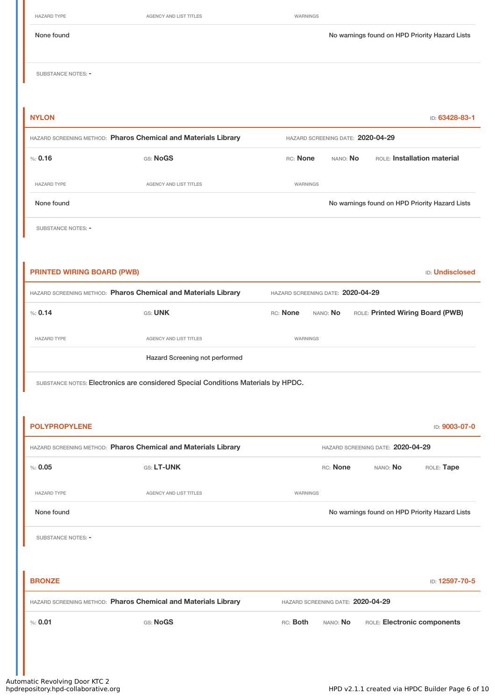| <b>HAZARD TYPE</b>           | AGENCY AND LIST TITLES                                                     | WARNINGS |                                                      |                                                |                |
|------------------------------|----------------------------------------------------------------------------|----------|------------------------------------------------------|------------------------------------------------|----------------|
| None found                   |                                                                            |          |                                                      | No warnings found on HPD Priority Hazard Lists |                |
| SUBSTANCE NOTES: -           |                                                                            |          |                                                      |                                                |                |
| <b>NYLON</b>                 |                                                                            |          |                                                      |                                                | ID: 63428-83-1 |
|                              |                                                                            |          |                                                      |                                                |                |
|                              | HAZARD SCREENING METHOD: Pharos Chemical and Materials Library<br>GS: NoGS | RC: None | HAZARD SCREENING DATE: 2020-04-29<br>nano: <b>No</b> | ROLE: Installation material                    |                |
| <b>HAZARD TYPE</b>           | AGENCY AND LIST TITLES                                                     | WARNINGS |                                                      |                                                |                |
| None found                   |                                                                            |          |                                                      | No warnings found on HPD Priority Hazard Lists |                |
| % 0.16<br>SUBSTANCE NOTES: - |                                                                            |          |                                                      |                                                |                |
|                              |                                                                            |          |                                                      |                                                |                |

**PRINTED WIRING BOARD (PWB)** ID: **Undisclosed** HAZARD SCREENING METHOD: **Pharos Chemical and Materials Library** HAZARD SCREENING DATE: **2020-04-29** %: 0.14 GS: UNK GS: UNK RC: None NANO: No ROLE: Printed Wiring Board (PWB) HAZARD TYPE **AGENCY AND LIST TITLES** WARNINGS Hazard Screening not performed

SUBSTANCE NOTES: Electronics are considered Special Conditions Materials by HPDC.

| <b>POLYPROPYLENE</b>                                           |                                                                |                                                | ID: 9003-07-0               |
|----------------------------------------------------------------|----------------------------------------------------------------|------------------------------------------------|-----------------------------|
| HAZARD SCREENING METHOD: Pharos Chemical and Materials Library |                                                                | HAZARD SCREENING DATE: 2020-04-29              |                             |
| % 0.05                                                         | <b>GS: LT-UNK</b>                                              | RC: None<br>NANO: No                           | ROLE: Tape                  |
| <b>HAZARD TYPE</b>                                             | <b>AGENCY AND LIST TITLES</b>                                  | WARNINGS                                       |                             |
| None found                                                     |                                                                | No warnings found on HPD Priority Hazard Lists |                             |
| SUBSTANCE NOTES: -                                             |                                                                |                                                |                             |
|                                                                |                                                                |                                                |                             |
| <b>BRONZE</b>                                                  |                                                                |                                                | ID: 12597-70-5              |
|                                                                | HAZARD SCREENING METHOD: Pharos Chemical and Materials Library | HAZARD SCREENING DATE: 2020-04-29              |                             |
| % 0.01                                                         | GS: NoGS                                                       | RC: Both<br>NANO: No                           | ROLE: Electronic components |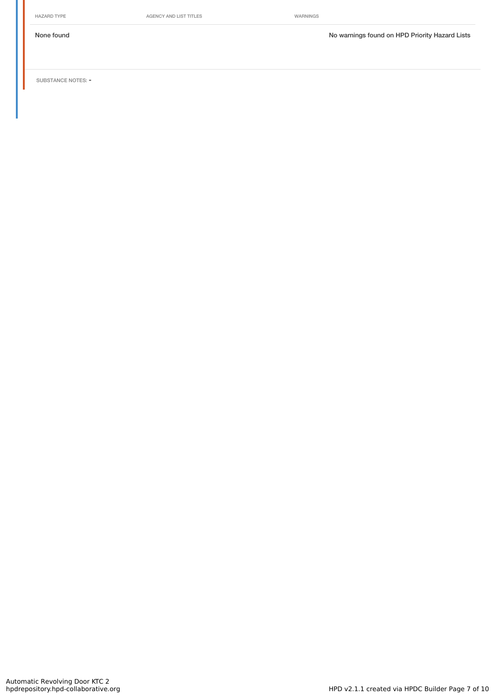HAZARD TYPE **AGENCY AND LIST TITLES** WARNINGS

None found Now arrings found on HPD Priority Hazard Lists

SUBSTANCE NOTES: -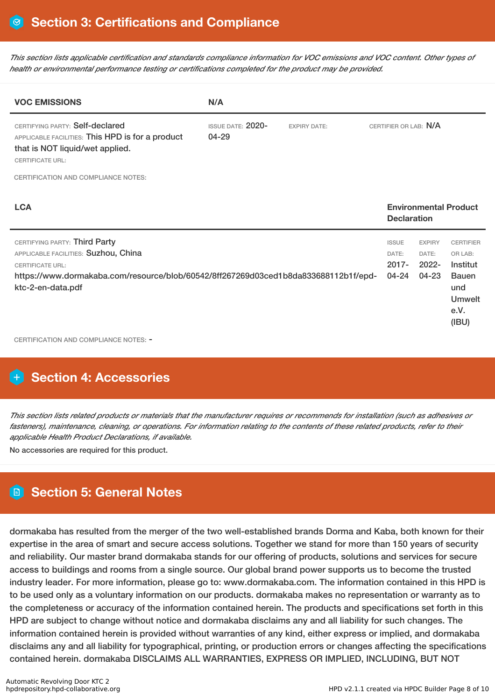This section lists applicable certification and standards compliance information for VOC emissions and VOC content. Other types of *health or environmental performance testing or certifications completed for the product may be provided.*

| <b>VOC EMISSIONS</b>                                                                                                                                                                                                                                  | N/A                               |                     |                                            |                                             |                                                                                                  |
|-------------------------------------------------------------------------------------------------------------------------------------------------------------------------------------------------------------------------------------------------------|-----------------------------------|---------------------|--------------------------------------------|---------------------------------------------|--------------------------------------------------------------------------------------------------|
| CERTIFYING PARTY: Self-declared<br>APPLICABLE FACILITIES: This HPD is for a product<br>that is NOT liquid/wet applied.<br><b>CERTIFICATE URL:</b>                                                                                                     | <b>ISSUE DATE: 2020-</b><br>04-29 | <b>EXPIRY DATE:</b> | CERTIFIER OR LAB: N/A                      |                                             |                                                                                                  |
| <b>CERTIFICATION AND COMPLIANCE NOTES:</b>                                                                                                                                                                                                            |                                   |                     |                                            |                                             |                                                                                                  |
| <b>LCA</b>                                                                                                                                                                                                                                            |                                   |                     | <b>Declaration</b>                         |                                             | <b>Environmental Product</b>                                                                     |
| CERTIFYING PARTY: Third Party<br>APPLICABLE FACILITIES: Suzhou, China<br><b>CERTIFICATE URL:</b><br>https://www.dormakaba.com/resource/blob/60542/8ff267269d03ced1b8da833688112b1f/epd-<br>ktc-2-en-data.pdf<br>CERTIFICATION AND COMPLIANCE NOTES: - |                                   |                     | <b>ISSUE</b><br>DATE:<br>$2017 -$<br>04-24 | <b>EXPIRY</b><br>DATE:<br>$2022 -$<br>04-23 | <b>CERTIFIER</b><br>OR LAB:<br>Institut<br><b>Bauen</b><br>und<br><b>Umwelt</b><br>e.V.<br>(IBU) |

# **Section 4: Accessories**

This section lists related products or materials that the manufacturer requires or recommends for installation (such as adhesives or fasteners), maintenance, cleaning, or operations. For information relating to the contents of these related products, refer to their *applicable Health Product Declarations, if available.*

No accessories are required for this product.

# **Section 5: General Notes**

dormakaba has resulted from the merger of the two well-established brands Dorma and Kaba, both known for their expertise in the area of smart and secure access solutions. Together we stand for more than 150 years of security and reliability. Our master brand dormakaba stands for our offering of products, solutions and services for secure access to buildings and rooms from a single source. Our global brand power supports us to become the trusted industry leader. For more information, please go to: www.dormakaba.com. The information contained in this HPD is to be used only as a voluntary information on our products. dormakaba makes no representation or warranty as to the completeness or accuracy of the information contained herein. The products and specifications set forth in this HPD are subject to change without notice and dormakaba disclaims any and all liability for such changes. The information contained herein is provided without warranties of any kind, either express or implied, and dormakaba disclaims any and all liability for typographical, printing, or production errors or changes affecting the specifications contained herein. dormakaba DISCLAIMS ALL WARRANTIES, EXPRESS OR IMPLIED, INCLUDING, BUT NOT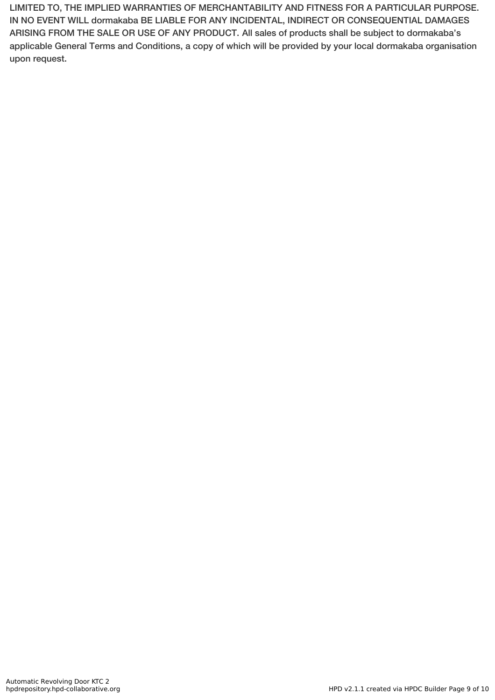LIMITED TO, THE IMPLIED WARRANTIES OF MERCHANTABILITY AND FITNESS FOR A PARTICULAR PURPOSE. IN NO EVENT WILL dormakaba BE LIABLE FOR ANY INCIDENTAL, INDIRECT OR CONSEQUENTIAL DAMAGES ARISING FROM THE SALE OR USE OF ANY PRODUCT. All sales of products shall be subject to dormakaba's applicable General Terms and Conditions, a copy of which will be provided by your local dormakaba organisation upon request.